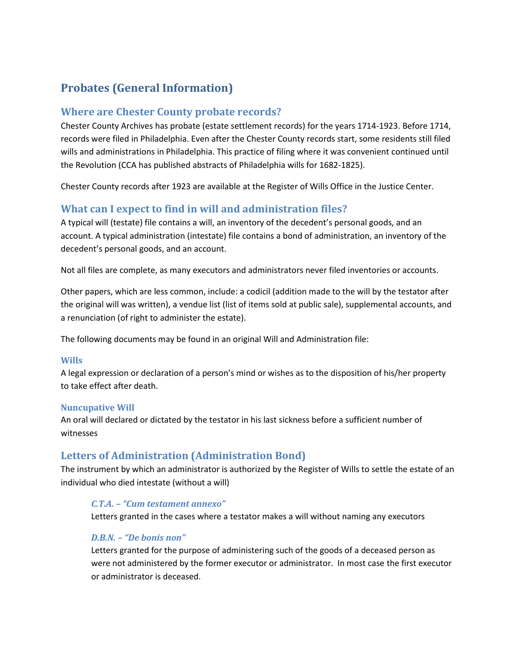# **Probates (General Information)**

### **Where are Chester County probate records?**

Chester County Archives has probate (estate settlement records) for the years 1714-1923. Before 1714, records were filed in Philadelphia. Even after the Chester County records start, some residents still filed wills and administrations in Philadelphia. This practice of filing where it was convenient continued until the Revolution (CCA has published abstracts of Philadelphia wills for 1682-1825).

Chester County records after 1923 are available at the Register of Wills Office in the Justice Center.

## **What can I expect to find in will and administration files?**

A typical will (testate) file contains a will, an inventory of the decedent's personal goods, and an account. A typical administration (intestate) file contains a bond of administration, an inventory of the decedent's personal goods, and an account.

Not all files are complete, as many executors and administrators never filed inventories or accounts.

Other papers, which are less common, include: a codicil (addition made to the will by the testator after the original will was written), a vendue list (list of items sold at public sale), supplemental accounts, and a renunciation (of right to administer the estate).

The following documents may be found in an original Will and Administration file:

#### **Wills**

A legal expression or declaration of a person's mind or wishes as to the disposition of his/her property to take effect after death.

#### **Nuncupative Will**

An oral will declared or dictated by the testator in his last sickness before a sufficient number of witnesses

## **Letters of Administration (Administration Bond)**

The instrument by which an administrator is authorized by the Register of Wills to settle the estate of an individual who died intestate (without a will)

### *C.T.A. – "Cum testament annexo"*

Letters granted in the cases where a testator makes a will without naming any executors

### *D.B.N. – "De bonis non"*

Letters granted for the purpose of administering such of the goods of a deceased person as were not administered by the former executor or administrator. In most case the first executor or administrator is deceased.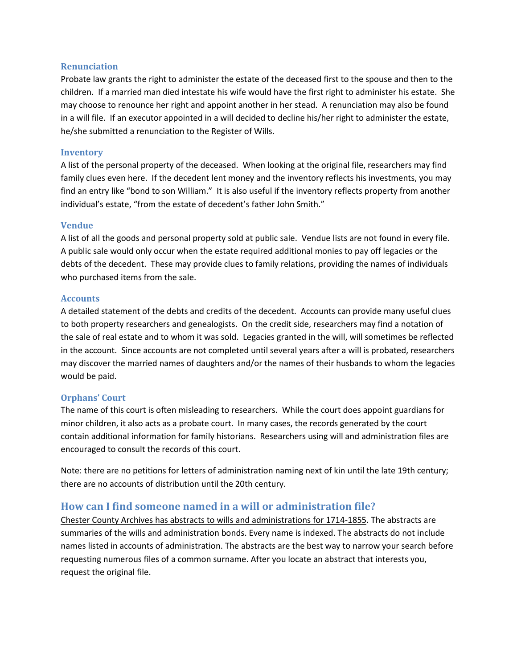#### **Renunciation**

Probate law grants the right to administer the estate of the deceased first to the spouse and then to the children. If a married man died intestate his wife would have the first right to administer his estate. She may choose to renounce her right and appoint another in her stead. A renunciation may also be found in a will file. If an executor appointed in a will decided to decline his/her right to administer the estate, he/she submitted a renunciation to the Register of Wills.

#### **Inventory**

A list of the personal property of the deceased. When looking at the original file, researchers may find family clues even here. If the decedent lent money and the inventory reflects his investments, you may find an entry like "bond to son William." It is also useful if the inventory reflects property from another individual's estate, "from the estate of decedent's father John Smith."

#### **Vendue**

A list of all the goods and personal property sold at public sale. Vendue lists are not found in every file. A public sale would only occur when the estate required additional monies to pay off legacies or the debts of the decedent. These may provide clues to family relations, providing the names of individuals who purchased items from the sale.

#### **Accounts**

A detailed statement of the debts and credits of the decedent. Accounts can provide many useful clues to both property researchers and genealogists. On the credit side, researchers may find a notation of the sale of real estate and to whom it was sold. Legacies granted in the will, will sometimes be reflected in the account. Since accounts are not completed until several years after a will is probated, researchers may discover the married names of daughters and/or the names of their husbands to whom the legacies would be paid.

#### **Orphans' Court**

The name of this court is often misleading to researchers. While the court does appoint guardians for minor children, it also acts as a probate court. In many cases, the records generated by the court contain additional information for family historians. Researchers using will and administration files are encouraged to consult the records of this court.

Note: there are no petitions for letters of administration naming next of kin until the late 19th century; there are no accounts of distribution until the 20th century.

### **How can I find someone named in a will or administration file?**

Chester County Archives has abstracts to wills and administrations for 1714-1855. The abstracts are summaries of the wills and administration bonds. Every name is indexed. The abstracts do not include names listed in accounts of administration. The abstracts are the best way to narrow your search before requesting numerous files of a common surname. After you locate an abstract that interests you, request the original file.